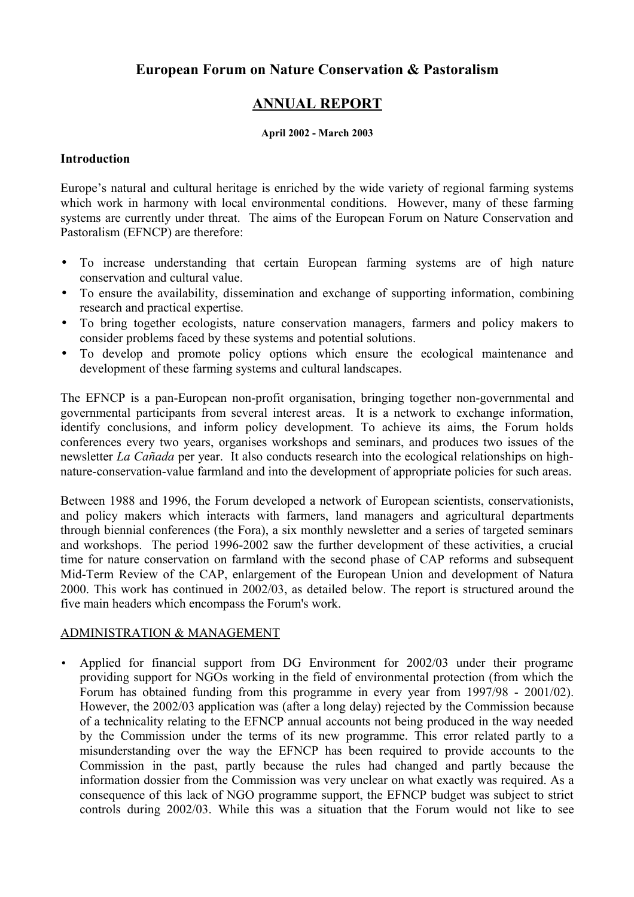# **European Forum on Nature Conservation & Pastoralism**

# **ANNUAL REPORT**

#### **April 2002 - March 2003**

### **Introduction**

Europe's natural and cultural heritage is enriched by the wide variety of regional farming systems which work in harmony with local environmental conditions. However, many of these farming systems are currently under threat. The aims of the European Forum on Nature Conservation and Pastoralism (EFNCP) are therefore:

- To increase understanding that certain European farming systems are of high nature conservation and cultural value.
- To ensure the availability, dissemination and exchange of supporting information, combining research and practical expertise.
- To bring together ecologists, nature conservation managers, farmers and policy makers to consider problems faced by these systems and potential solutions.
- To develop and promote policy options which ensure the ecological maintenance and development of these farming systems and cultural landscapes.

The EFNCP is a pan-European non-profit organisation, bringing together non-governmental and governmental participants from several interest areas. It is a network to exchange information, identify conclusions, and inform policy development. To achieve its aims, the Forum holds conferences every two years, organises workshops and seminars, and produces two issues of the newsletter *La Cañada* per year. It also conducts research into the ecological relationships on highnature-conservation-value farmland and into the development of appropriate policies for such areas.

Between 1988 and 1996, the Forum developed a network of European scientists, conservationists, and policy makers which interacts with farmers, land managers and agricultural departments through biennial conferences (the Fora), a six monthly newsletter and a series of targeted seminars and workshops. The period 1996-2002 saw the further development of these activities, a crucial time for nature conservation on farmland with the second phase of CAP reforms and subsequent Mid-Term Review of the CAP, enlargement of the European Union and development of Natura 2000. This work has continued in 2002/03, as detailed below. The report is structured around the five main headers which encompass the Forum's work.

### ADMINISTRATION & MANAGEMENT

• Applied for financial support from DG Environment for 2002/03 under their programe providing support for NGOs working in the field of environmental protection (from which the Forum has obtained funding from this programme in every year from 1997/98 - 2001/02). However, the 2002/03 application was (after a long delay) rejected by the Commission because of a technicality relating to the EFNCP annual accounts not being produced in the way needed by the Commission under the terms of its new programme. This error related partly to a misunderstanding over the way the EFNCP has been required to provide accounts to the Commission in the past, partly because the rules had changed and partly because the information dossier from the Commission was very unclear on what exactly was required. As a consequence of this lack of NGO programme support, the EFNCP budget was subject to strict controls during 2002/03. While this was a situation that the Forum would not like to see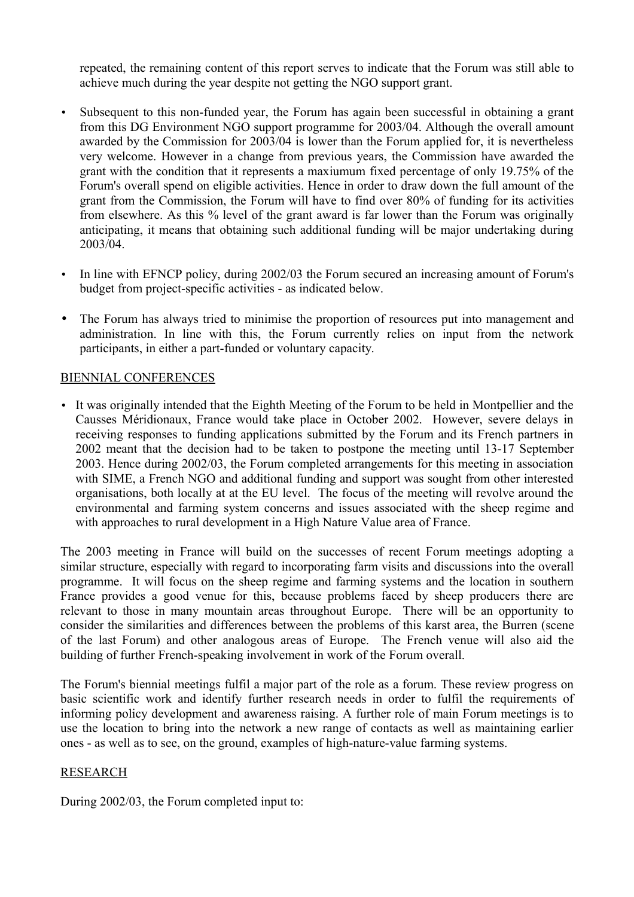repeated, the remaining content of this report serves to indicate that the Forum was still able to achieve much during the year despite not getting the NGO support grant.

- Subsequent to this non-funded year, the Forum has again been successful in obtaining a grant from this DG Environment NGO support programme for 2003/04. Although the overall amount awarded by the Commission for 2003/04 is lower than the Forum applied for, it is nevertheless very welcome. However in a change from previous years, the Commission have awarded the grant with the condition that it represents a maxiumum fixed percentage of only 19.75% of the Forum's overall spend on eligible activities. Hence in order to draw down the full amount of the grant from the Commission, the Forum will have to find over 80% of funding for its activities from elsewhere. As this % level of the grant award is far lower than the Forum was originally anticipating, it means that obtaining such additional funding will be major undertaking during 2003/04.
- In line with EFNCP policy, during 2002/03 the Forum secured an increasing amount of Forum's budget from project-specific activities - as indicated below.
- The Forum has always tried to minimise the proportion of resources put into management and administration. In line with this, the Forum currently relies on input from the network participants, in either a part-funded or voluntary capacity.

## BIENNIAL CONFERENCES

• It was originally intended that the Eighth Meeting of the Forum to be held in Montpellier and the Causses Méridionaux, France would take place in October 2002. However, severe delays in receiving responses to funding applications submitted by the Forum and its French partners in 2002 meant that the decision had to be taken to postpone the meeting until 13-17 September 2003. Hence during 2002/03, the Forum completed arrangements for this meeting in association with SIME, a French NGO and additional funding and support was sought from other interested organisations, both locally at at the EU level. The focus of the meeting will revolve around the environmental and farming system concerns and issues associated with the sheep regime and with approaches to rural development in a High Nature Value area of France.

The 2003 meeting in France will build on the successes of recent Forum meetings adopting a similar structure, especially with regard to incorporating farm visits and discussions into the overall programme. It will focus on the sheep regime and farming systems and the location in southern France provides a good venue for this, because problems faced by sheep producers there are relevant to those in many mountain areas throughout Europe. There will be an opportunity to consider the similarities and differences between the problems of this karst area, the Burren (scene of the last Forum) and other analogous areas of Europe. The French venue will also aid the building of further French-speaking involvement in work of the Forum overall.

The Forum's biennial meetings fulfil a major part of the role as a forum. These review progress on basic scientific work and identify further research needs in order to fulfil the requirements of informing policy development and awareness raising. A further role of main Forum meetings is to use the location to bring into the network a new range of contacts as well as maintaining earlier ones - as well as to see, on the ground, examples of high-nature-value farming systems.

#### RESEARCH

During 2002/03, the Forum completed input to: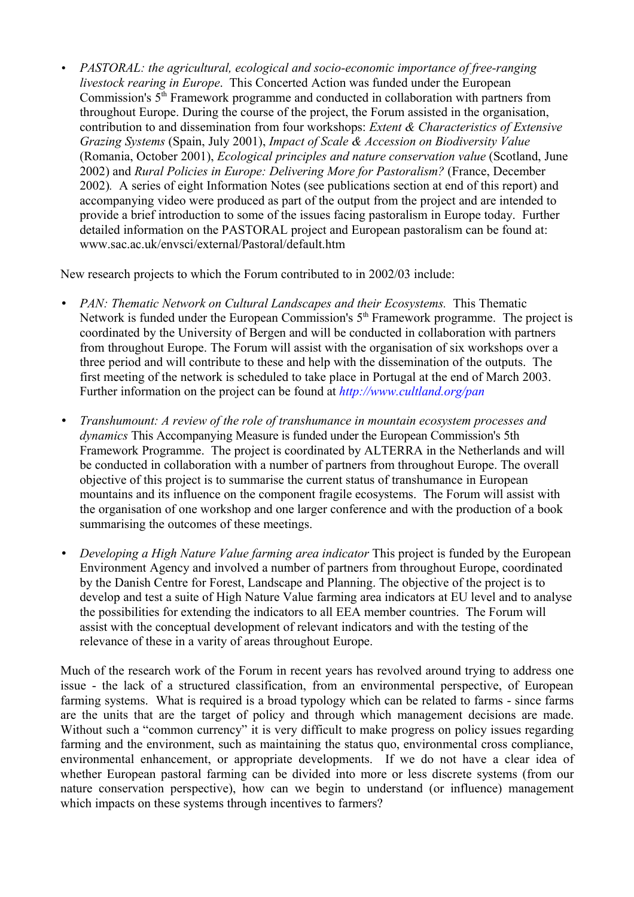• *PASTORAL: the agricultural, ecological and socio-economic importance of free-ranging livestock rearing in Europe*. This Concerted Action was funded under the European Commission's 5th Framework programme and conducted in collaboration with partners from throughout Europe. During the course of the project, the Forum assisted in the organisation, contribution to and dissemination from four workshops: *Extent & Characteristics of Extensive Grazing Systems* (Spain, July 2001), *Impact of Scale & Accession on Biodiversity Value* (Romania, October 2001), *Ecological principles and nature conservation value* (Scotland, June 2002) and *Rural Policies in Europe: Delivering More for Pastoralism?* (France, December 2002)*.* A series of eight Information Notes (see publications section at end of this report) and accompanying video were produced as part of the output from the project and are intended to provide a brief introduction to some of the issues facing pastoralism in Europe today. Further detailed information on the PASTORAL project and European pastoralism can be found at: www.sac.ac.uk/envsci/external/Pastoral/default.htm

New research projects to which the Forum contributed to in 2002/03 include:

- *PAN: Thematic Network on Cultural Landscapes and their Ecosystems.* This Thematic Network is funded under the European Commission's  $5<sup>th</sup>$  Framework programme. The project is coordinated by the University of Bergen and will be conducted in collaboration with partners from throughout Europe. The Forum will assist with the organisation of six workshops over a three period and will contribute to these and help with the dissemination of the outputs. The first meeting of the network is scheduled to take place in Portugal at the end of March 2003. Further information on the project can be found at *http://www.cultland.org/pan*
- *Transhumount: A review of the role of transhumance in mountain ecosystem processes and dynamics* This Accompanying Measure is funded under the European Commission's 5th Framework Programme. The project is coordinated by ALTERRA in the Netherlands and will be conducted in collaboration with a number of partners from throughout Europe. The overall objective of this project is to summarise the current status of transhumance in European mountains and its influence on the component fragile ecosystems. The Forum will assist with the organisation of one workshop and one larger conference and with the production of a book summarising the outcomes of these meetings.
- *Developing a High Nature Value farming area indicator* This project is funded by the European Environment Agency and involved a number of partners from throughout Europe, coordinated by the Danish Centre for Forest, Landscape and Planning. The objective of the project is to develop and test a suite of High Nature Value farming area indicators at EU level and to analyse the possibilities for extending the indicators to all EEA member countries. The Forum will assist with the conceptual development of relevant indicators and with the testing of the relevance of these in a varity of areas throughout Europe.

Much of the research work of the Forum in recent years has revolved around trying to address one issue - the lack of a structured classification, from an environmental perspective, of European farming systems. What is required is a broad typology which can be related to farms - since farms are the units that are the target of policy and through which management decisions are made. Without such a "common currency" it is very difficult to make progress on policy issues regarding farming and the environment, such as maintaining the status quo, environmental cross compliance, environmental enhancement, or appropriate developments. If we do not have a clear idea of whether European pastoral farming can be divided into more or less discrete systems (from our nature conservation perspective), how can we begin to understand (or influence) management which impacts on these systems through incentives to farmers?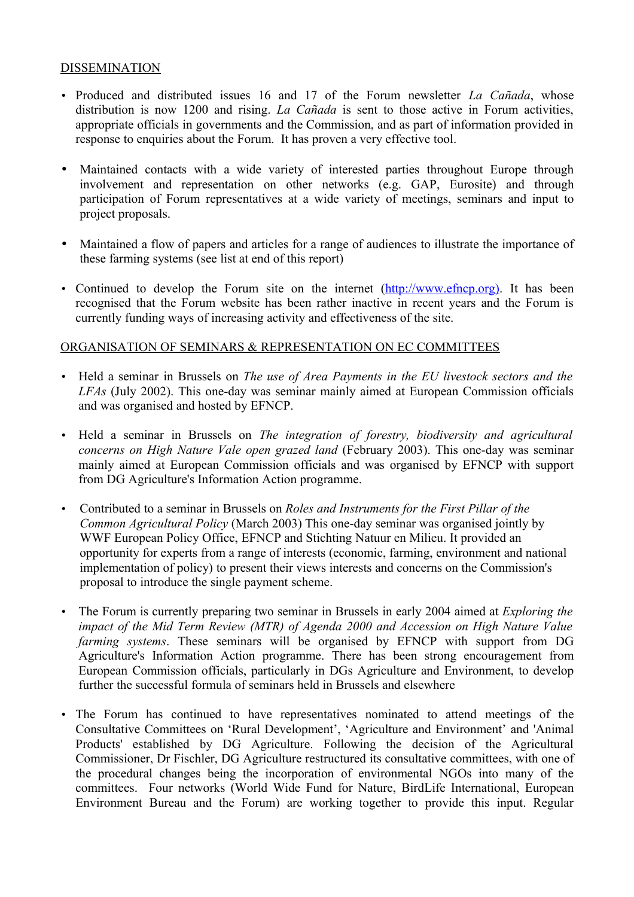## DISSEMINATION

- Produced and distributed issues 16 and 17 of the Forum newsletter *La Cañada*, whose distribution is now 1200 and rising. *La Cañada* is sent to those active in Forum activities, appropriate officials in governments and the Commission, and as part of information provided in response to enquiries about the Forum. It has proven a very effective tool.
- Maintained contacts with a wide variety of interested parties throughout Europe through involvement and representation on other networks (e.g. GAP, Eurosite) and through participation of Forum representatives at a wide variety of meetings, seminars and input to project proposals.
- Maintained a flow of papers and articles for a range of audiences to illustrate the importance of these farming systems (see list at end of this report)
- Continued to develop the Forum site on the internet (http://www.efncp.org). It has been recognised that the Forum website has been rather inactive in recent years and the Forum is currently funding ways of increasing activity and effectiveness of the site.

### ORGANISATION OF SEMINARS & REPRESENTATION ON EC COMMITTEES

- Held a seminar in Brussels on *The use of Area Payments in the EU livestock sectors and the LFAs* (July 2002). This one-day was seminar mainly aimed at European Commission officials and was organised and hosted by EFNCP.
- Held a seminar in Brussels on *The integration of forestry, biodiversity and agricultural concerns on High Nature Vale open grazed land* (February 2003). This one-day was seminar mainly aimed at European Commission officials and was organised by EFNCP with support from DG Agriculture's Information Action programme.
- Contributed to a seminar in Brussels on *Roles and Instruments for the First Pillar of the Common Agricultural Policy* (March 2003) This one-day seminar was organised jointly by WWF European Policy Office, EFNCP and Stichting Natuur en Milieu. It provided an opportunity for experts from a range of interests (economic, farming, environment and national implementation of policy) to present their views interests and concerns on the Commission's proposal to introduce the single payment scheme.
- The Forum is currently preparing two seminar in Brussels in early 2004 aimed at *Exploring the impact of the Mid Term Review (MTR) of Agenda 2000 and Accession on High Nature Value farming systems*. These seminars will be organised by EFNCP with support from DG Agriculture's Information Action programme. There has been strong encouragement from European Commission officials, particularly in DGs Agriculture and Environment, to develop further the successful formula of seminars held in Brussels and elsewhere
- The Forum has continued to have representatives nominated to attend meetings of the Consultative Committees on 'Rural Development', 'Agriculture and Environment' and 'Animal Products' established by DG Agriculture. Following the decision of the Agricultural Commissioner, Dr Fischler, DG Agriculture restructured its consultative committees, with one of the procedural changes being the incorporation of environmental NGOs into many of the committees. Four networks (World Wide Fund for Nature, BirdLife International, European Environment Bureau and the Forum) are working together to provide this input. Regular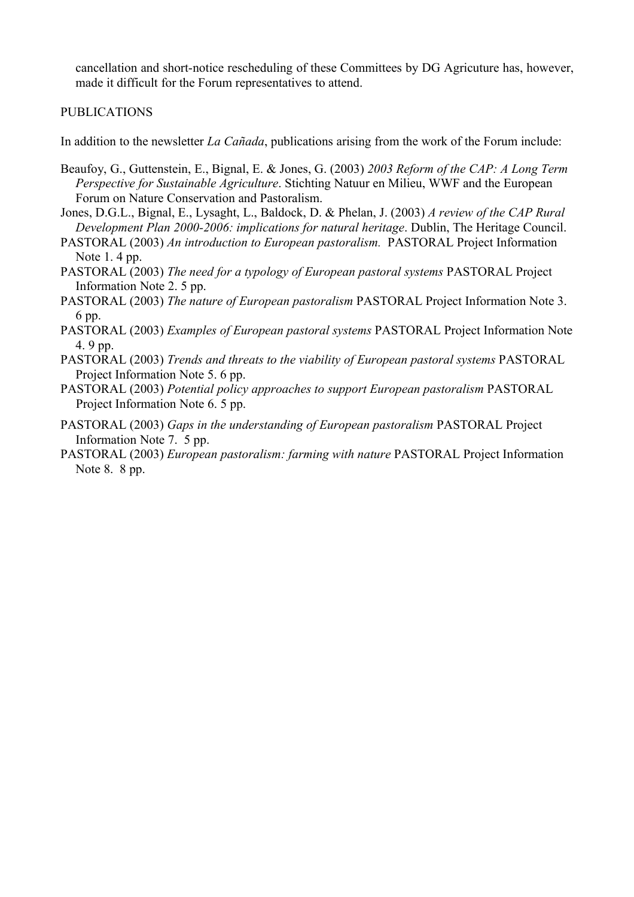cancellation and short-notice rescheduling of these Committees by DG Agricuture has, however, made it difficult for the Forum representatives to attend.

PUBLICATIONS

In addition to the newsletter *La Cañada*, publications arising from the work of the Forum include:

- Beaufoy, G., Guttenstein, E., Bignal, E. & Jones, G. (2003) *2003 Reform of the CAP: A Long Term Perspective for Sustainable Agriculture*. Stichting Natuur en Milieu, WWF and the European Forum on Nature Conservation and Pastoralism.
- Jones, D.G.L., Bignal, E., Lysaght, L., Baldock, D. & Phelan, J. (2003) *A review of the CAP Rural Development Plan 2000-2006: implications for natural heritage*. Dublin, The Heritage Council.
- PASTORAL (2003) *An introduction to European pastoralism.* PASTORAL Project Information Note 1.4 pp.
- PASTORAL (2003) *The need for a typology of European pastoral systems* PASTORAL Project Information Note 2. 5 pp.
- PASTORAL (2003) *The nature of European pastoralism* PASTORAL Project Information Note 3. 6 pp.
- PASTORAL (2003) *Examples of European pastoral systems* PASTORAL Project Information Note 4. 9 pp.
- PASTORAL (2003) *Trends and threats to the viability of European pastoral systems* PASTORAL Project Information Note 5. 6 pp.
- PASTORAL (2003) *Potential policy approaches to support European pastoralism* PASTORAL Project Information Note 6. 5 pp.
- PASTORAL (2003) *Gaps in the understanding of European pastoralism* PASTORAL Project Information Note 7. 5 pp.
- PASTORAL (2003) *European pastoralism: farming with nature* PASTORAL Project Information Note 8. 8 pp.